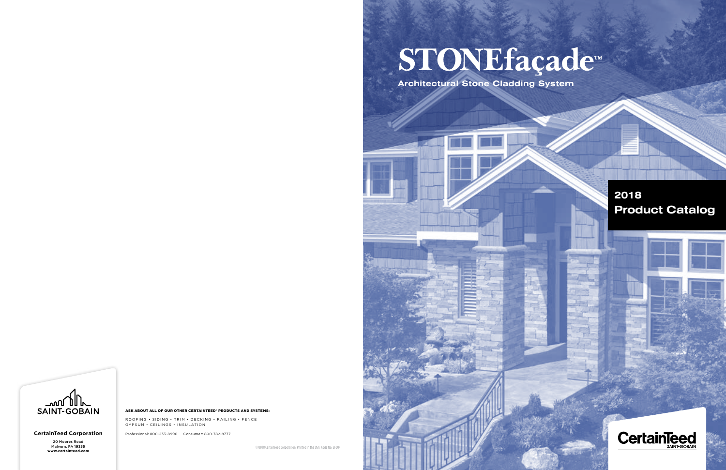### **2018 Product Catalog**



**Architectural Stone Cladding System Architectural Stone Cladding System**



#### **CertainTeed Corporation**

20 Moores Road Malvern, PA 19355

ROOFING • SIDING • TRIM • DECKING • RAILING • FENCE GYPSUM • CEILINGS • INSULATION

#### ASK ABOUT ALL OF OUR OTHER CERTAINTEED® PRODUCTS AND SYSTEMS:

Professional: 800-233-8990 Consumer: 800-782-8777

*w* 01/18 CertainTeed Corporation, Printed in the USA Code No. SF004

# STONEfaçade™

**Certain**